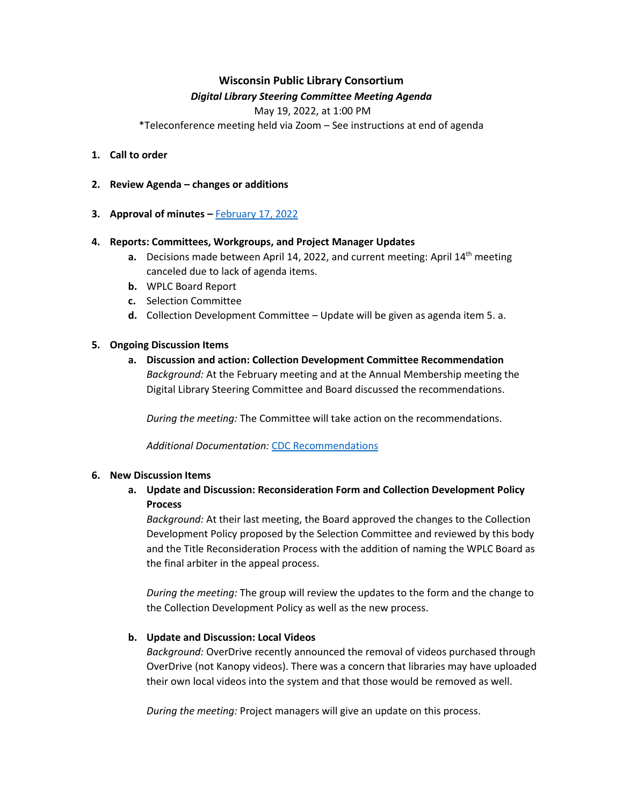# **Wisconsin Public Library Consortium**

# *Digital Library Steering Committee Meeting Agenda*

May 19, 2022, at 1:00 PM

\*Teleconference meeting held via Zoom – See instructions at end of agenda

- **1. Call to order**
- **2. Review Agenda – changes or additions**
- **3. Approval of minutes –** [February 17, 2022](https://wplc.info/sites/wplc.info/files/02-17-2022%20WPLC%20Steering%20Notes.pdf)

# **4. Reports: Committees, Workgroups, and Project Manager Updates**

- **a.** Decisions made between April 14, 2022, and current meeting: April 14th meeting canceled due to lack of agenda items.
- **b.** WPLC Board Report
- **c.** Selection Committee
- **d.** Collection Development Committee Update will be given as agenda item 5. a.

# **5. Ongoing Discussion Items**

**a. Discussion and action: Collection Development Committee Recommendation** *Background:* At the February meeting and at the Annual Membership meeting the Digital Library Steering Committee and Board discussed the recommendations.

*During the meeting:* The Committee will take action on the recommendations.

*Additional Documentation:* CDC [Recommendations](https://wplc.info/sites/wplc.info/files/WPLC%20Collection%20Development%20Policy%20DRAFT%20REVISIONS%20March%202022.pdf)

#### **6. New Discussion Items**

# **a. Update and Discussion: Reconsideration Form and Collection Development Policy Process**

*Background:* At their last meeting, the Board approved the changes to the Collection Development Policy proposed by the Selection Committee and reviewed by this body and the Title Reconsideration Process with the addition of naming the WPLC Board as the final arbiter in the appeal process.

*During the meeting:* The group will review the updates to the form and the change to the Collection Development Policy as well as the new process.

# **b. Update and Discussion: Local Videos**

*Background:* OverDrive recently announced the removal of videos purchased through OverDrive (not Kanopy videos). There was a concern that libraries may have uploaded their own local videos into the system and that those would be removed as well.

*During the meeting:* Project managers will give an update on this process.